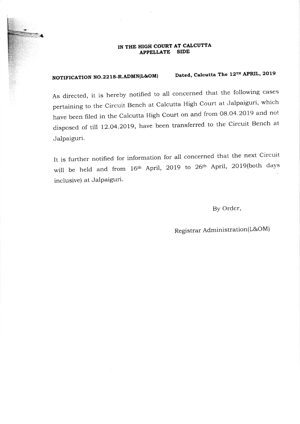## IN THE HIGH COURT AT CALCUTTA APPELLATE SIDE

## Dated, Calcutta The 12TH APRIL, 2019 NOTIFICATION NO.2218-R.ADMN(L&OM)

As directed, it is hereby notified to all concerned that the following cases pertaining to the Circuit Bench at Calcutta High Court at Jalpaiguri, which have been filed in the Calcutta High Court on and from 08.04.2019 and not disposed of till 12.04.2019, have been transferred to the Circuit Bench at Jalpaiguri.

It is further notified for information for all concerned that the next Circuit will be held and from 16th April, 2019 to 26th April, 2019(both days inclusive) at Jalpaiguri.

By Order,

Registrar Administration(L&OM)